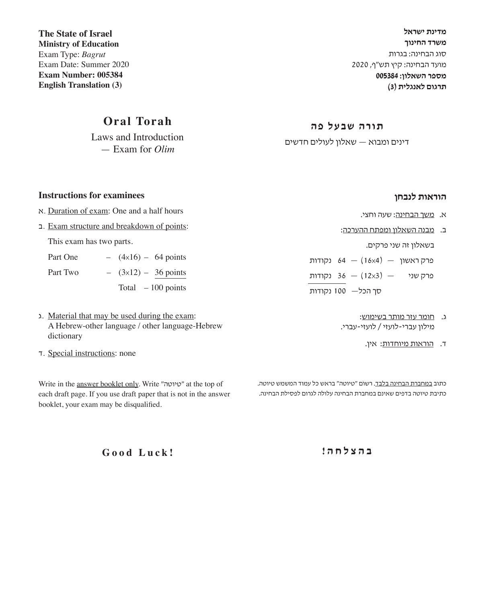**מדינת ישראל משרד החינוך** סוג הבחינה: בגרות מועד הבחינה: קיץ תש"ף, 2020 **מספר השאלון: 005384 תרגום לאנגלית )3(**

**תורה שבעל פה**

דינים ומבוא — שאלון לעולים חדשים

**הוראות לנבחן**

- א. משך הבחינה: שעה וחצי.
- ב. מבנה השאלון ומפתח ההערכה:

בשאלון זה שני פרקים.

פרק ראשון  $(16\times4) - 64$  נקודות פרק שני  $(12\times3)$  (נקודות סך הכל— 100 נקודות

- ג. חומר עזר מותר בשימוש: מילון עברי-לועזי / לועזי-עברי.
	- ד. הוראות מיוחדות: אין.

כתוב במחברת הבחינה בלבד. רשוֹם "טיוטה" בראש כל עמוד המשמש טיוטה. כתיבת טיוטה בדפים שאינם במחברת הבחינה עלולה לגרום לפסילת הבחינה.

**ב ה צ ל ח ה !**

**The State of Israel Ministry of Education** Exam Type: *Bagrut* Exam Date: Summer 2020 **Exam Number: 005384 English Translation (3)**

## **Oral Torah**

Laws and Introduction — Exam for *Olim*

#### **Instructions for examinees**

- א. Duration of exam: One and a half hours
- ב. Exam structure and breakdown of points:

This exam has two parts.

| Part One | $-$ (4x16) – 64 points |                     |
|----------|------------------------|---------------------|
| Part Two | $ (3x12) - 36$ points  |                     |
|          |                        | Total $-100$ points |

- ג. Material that may be used during the exam: A Hebrew-other language / other language-Hebrew dictionary
- ד. Special instructions: none

Write in the answer booklet only. Write "טיוטה "at the top of each draft page. If you use draft paper that is not in the answer booklet, your exam may be disqualified.

**Good Luck!**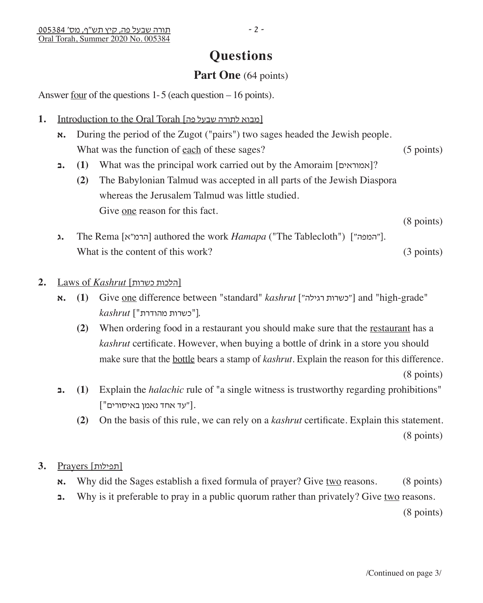# **Questions**

## **Part One** (64 points)

Answer four of the questions 1- 5 (each question – 16 points).

- 1. Introduction to the Oral Torah [פובוא לתורה שבעל פה]
	- **א.** During the period of the Zugot ("pairs") two sages headed the Jewish people. What was the function of <u>each</u> of these sages? (5 points)
	- **ב.) 1 (**What was the principal work carried out by the Amoraim [אמוראים?[
- **(2)** The Babylonian Talmud was accepted in all parts of the Jewish Diaspora whereas the Jerusalem Talmud was little studied. Give <u>one</u> reason for this fact. (8 points)
	- **ג.** The Rema [הרמ"א] authored the work *Hamapa* ("The Tablecloth") ["המפה"]. What is the content of this work? (3 points)

#### **2.** Laws of *Kashrut* [כשרות הלכות[

- **א.) 1 (**Give one difference between "standard" *kashrut* ["רגילה כשרות ["and "high-grade" .["כשרות מהודרת"] *kashrut*
- **(2)** When ordering food in a restaurant you should make sure that the restaurant has a *kashrut* certificate. However, when buying a bottle of drink in a store you should make sure that the bottle bears a stamp of *kashrut*. Explain the reason for this difference. (8 points)
	- **ב.) 1 (**Explain the *halachic* rule of "a single witness is trustworthy regarding prohibitions" .["עד אחד נאמן באיסורים"]
	- **(2)** On the basis of this rule, we can rely on a *kashrut* certificate. Explain this statement. (8 points)

### [תפילות] Prayers **3.**

- **x.** Why did the Sages establish a fixed formula of prayer? Give two reasons. (8 points)
- **z.** Why is it preferable to pray in a public quorum rather than privately? Give two reasons.

(8 points)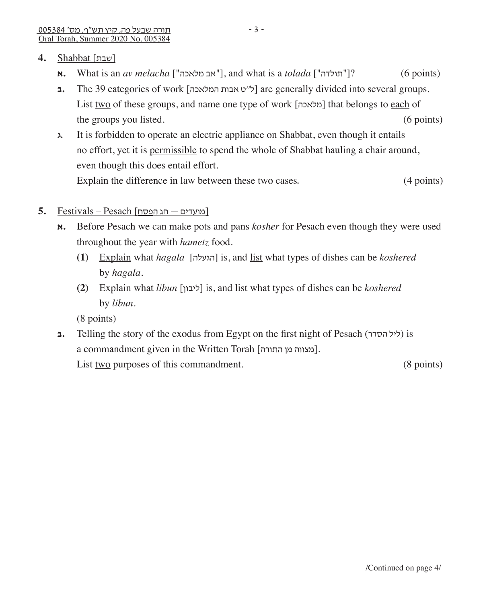- **א. What is an** *av melacha* ["אב מלאכה"], and what is a *tolada* ["תולדה"] ? (6 points)
- **ב.** The 39 categories of work [המלאכה אבות ט''ל [are generally divided into several groups. List two of these groups, and name one type of work [מלאכה] that belongs to each of the groups you listed.(6 points)
- **ג.** It is forbidden to operate an electric appliance on Shabbat, even though it entails no effort, yet it is permissible to spend the whole of Shabbat hauling a chair around, even though this does entail effort. Explain the difference in law between these two cases. (4 points)
- [מועדים חג הפסח] Pesach Festivals **5.**
	- **א.** Before Pesach we can make pots and pans *kosher* for Pesach even though they were used throughout the year with *hametz* food.
		- **(1)** Explain what *hagala* [הגעלה [is, and list what types of dishes can be *koshered* by *hagala*.
		- **(2)** Explain what *libun* [ליבון [is, and list what types of dishes can be *koshered* by *libun*.

(8 points)

**ב.** Telling the story of the exodus from Egypt on the first night of Pesach (הסדר ליל (is a commandment given in the Written Torah [כוצווה מן התורה]. List <u>two</u> purposes of this commandment. (8 points)